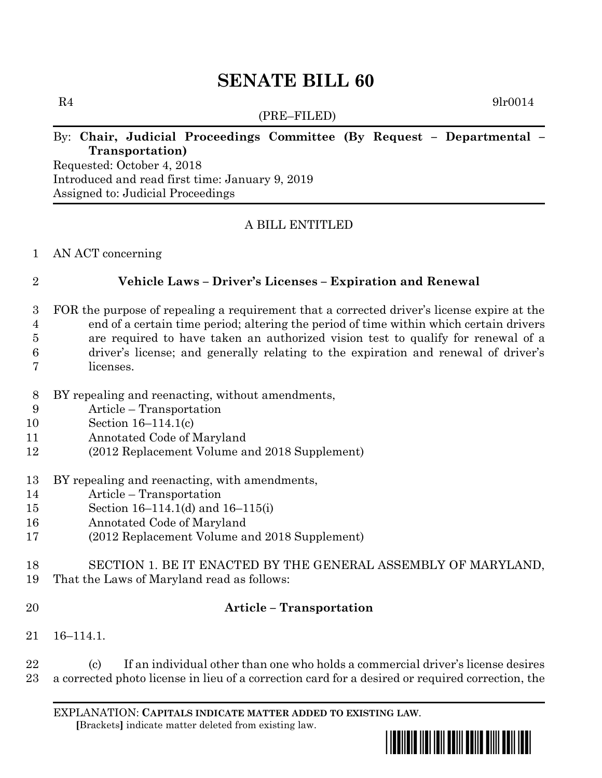# **SENATE BILL 60**

(PRE–FILED)

 $R4$  9lr0014

# By: **Chair, Judicial Proceedings Committee (By Request – Departmental – Transportation)**

Requested: October 4, 2018 Introduced and read first time: January 9, 2019 Assigned to: Judicial Proceedings

# A BILL ENTITLED

### AN ACT concerning

### **Vehicle Laws – Driver's Licenses – Expiration and Renewal**

- FOR the purpose of repealing a requirement that a corrected driver's license expire at the end of a certain time period; altering the period of time within which certain drivers
- are required to have taken an authorized vision test to qualify for renewal of a
- driver's license; and generally relating to the expiration and renewal of driver's licenses.
- BY repealing and reenacting, without amendments,
- Article Transportation
- Section 16–114.1(c)
- Annotated Code of Maryland
- (2012 Replacement Volume and 2018 Supplement)
- BY repealing and reenacting, with amendments,
- Article Transportation
- Section 16–114.1(d) and 16–115(i)
- Annotated Code of Maryland
- (2012 Replacement Volume and 2018 Supplement)
- SECTION 1. BE IT ENACTED BY THE GENERAL ASSEMBLY OF MARYLAND,
- That the Laws of Maryland read as follows:
- 

# **Article – Transportation**

16–114.1.

 (c) If an individual other than one who holds a commercial driver's license desires a corrected photo license in lieu of a correction card for a desired or required correction, the

EXPLANATION: **CAPITALS INDICATE MATTER ADDED TO EXISTING LAW**.  **[**Brackets**]** indicate matter deleted from existing law.